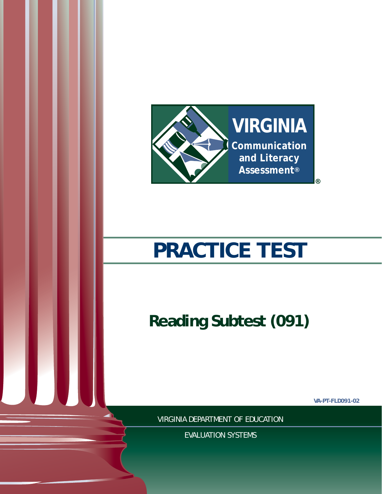

# **PRACTICE TEST**

**Reading Subtest (091)**

**VA-PT-FLD091-02**

VIRGINIA DEPARTMENT OF EDUCATION

EVALUATION SYSTEMS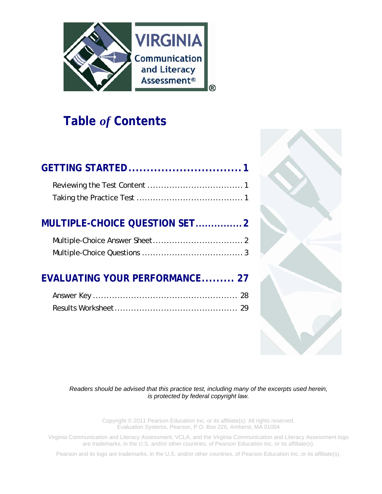

# **Table** *of* **Contents**

| MULTIPLE-CHOICE QUESTION SET2  |
|--------------------------------|
|                                |
| EVALUATING YOUR PERFORMANCE 27 |
|                                |



*Readers should be advised that this practice test, including many of the excerpts used herein, is protected by federal copyright law.* 

> Copyright © 2011 Pearson Education Inc. or its affiliate(s). All rights reserved. Evaluation Systems, Pearson, P.O. Box 226, Amherst, MA 01004

Virginia Communication and Literacy Assessment, VCLA, and the Virginia Communication and Literacy Assessment logo are trademarks, in the U.S. and/or other countries, of Pearson Education Inc. or its affiliate(s).

Pearson and its logo are trademarks, in the U.S. and/or other countries, of Pearson Education Inc. or its affiliate(s).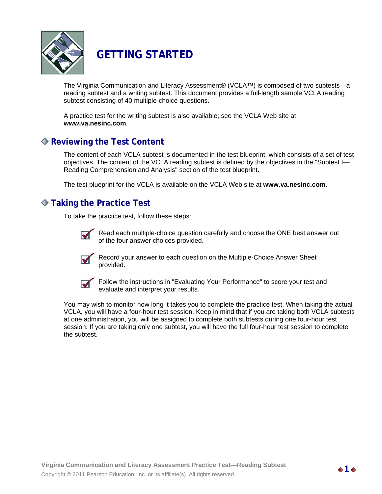

# **GETTING STARTED**

The Virginia Communication and Literacy Assessment® (VCLA™) is composed of two subtests—a reading subtest and a writing subtest. This document provides a full-length sample VCLA reading subtest consisting of 40 multiple-choice questions.

A practice test for the writing subtest is also available; see the VCLA Web site at **www.va.nesinc.com**.

### **Reviewing the Test Content**

The content of each VCLA subtest is documented in the test blueprint, which consists of a set of test objectives. The content of the VCLA reading subtest is defined by the objectives in the "Subtest I— Reading Comprehension and Analysis" section of the test blueprint.

The test blueprint for the VCLA is available on the VCLA Web site at **www.va.nesinc.com**.

### **Taking the Practice Test**

To take the practice test, follow these steps:



Read each multiple-choice question carefully and choose the ONE best answer out of the four answer choices provided.



Record your answer to each question on the Multiple-Choice Answer Sheet provided.



Follow the instructions in "Evaluating Your Performance" to score your test and evaluate and interpret your results.

You may wish to monitor how long it takes you to complete the practice test. When taking the actual VCLA, you will have a four-hour test session. Keep in mind that if you are taking both VCLA subtests at one administration, you will be assigned to complete both subtests during one four-hour test session. If you are taking only one subtest, you will have the full four-hour test session to complete the subtest.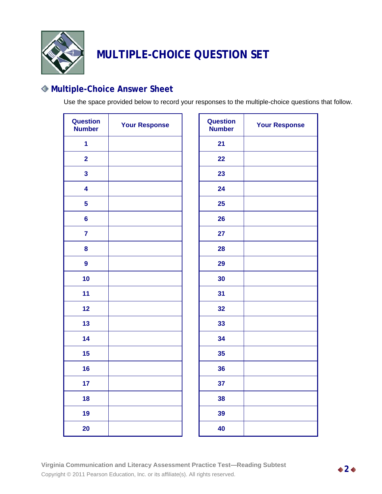

# **MULTIPLE-CHOICE QUESTION SET**

# **Multiple-Choice Answer Sheet**

Use the space provided below to record your responses to the multiple-choice questions that follow.

| <b>Question</b><br><b>Number</b> | <b>Your Response</b> | Question<br><b>Number</b> |
|----------------------------------|----------------------|---------------------------|
| $\mathbf{1}$                     |                      | 21                        |
| $\overline{\mathbf{2}}$          |                      | 22                        |
| 3                                |                      | 23                        |
| 4                                |                      | 24                        |
| 5                                |                      | 25                        |
| $6\phantom{a}$                   |                      | 26                        |
| $\overline{7}$                   |                      | 27                        |
| 8                                |                      | 28                        |
| 9                                |                      | 29                        |
| 10                               |                      | 30                        |
| 11                               |                      | 31                        |
| 12                               |                      | 32                        |
| 13                               |                      | 33                        |
| 14                               |                      | 34                        |
| 15                               |                      | 35                        |
| 16                               |                      | 36                        |
| 17                               |                      | 37                        |
| 18                               |                      | 38                        |
| 19                               |                      | 39                        |
| 20                               |                      | 40                        |

| <b>Question</b><br><b>Number</b> | <b>Your Response</b> |  |  |
|----------------------------------|----------------------|--|--|
| 21                               |                      |  |  |
| 22                               |                      |  |  |
| 23                               |                      |  |  |
| 24                               |                      |  |  |
| 25                               |                      |  |  |
| 26                               |                      |  |  |
| 27                               |                      |  |  |
| 28                               |                      |  |  |
| 29                               |                      |  |  |
| 30                               |                      |  |  |
| 31                               |                      |  |  |
| 32                               |                      |  |  |
| 33                               |                      |  |  |
| 34                               |                      |  |  |
| 35                               |                      |  |  |
| 36                               |                      |  |  |
| 37                               |                      |  |  |
| 38                               |                      |  |  |
| 39                               |                      |  |  |
| 40                               |                      |  |  |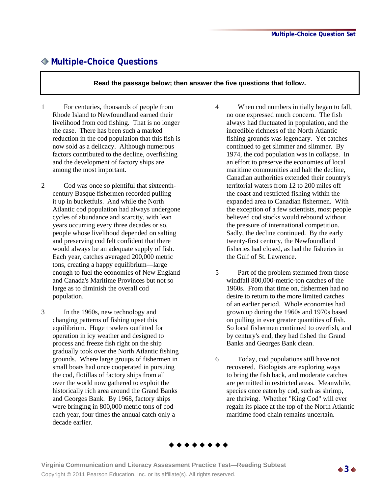## **Multiple-Choice Questions**

#### **Read the passage below; then answer the five questions that follow.**

- 1 For centuries, thousands of people from Rhode Island to Newfoundland earned their livelihood from cod fishing. That is no longer the case. There has been such a marked reduction in the cod population that this fish is now sold as a delicacy. Although numerous factors contributed to the decline, overfishing and the development of factory ships are among the most important.
- 2 Cod was once so plentiful that sixteenthcentury Basque fishermen recorded pulling it up in bucketfuls. And while the North Atlantic cod population had always undergone cycles of abundance and scarcity, with lean years occurring every three decades or so, people whose livelihood depended on salting and preserving cod felt confident that there would always be an adequate supply of fish. Each year, catches averaged 200,000 metric tons, creating a happy equilibrium—large enough to fuel the economies of New England and Canada's Maritime Provinces but not so large as to diminish the overall cod population.
- 3 In the 1960s, new technology and changing patterns of fishing upset this equilibrium. Huge trawlers outfitted for operation in icy weather and designed to process and freeze fish right on the ship gradually took over the North Atlantic fishing grounds. Where large groups of fishermen in small boats had once cooperated in pursuing the cod, flotillas of factory ships from all over the world now gathered to exploit the historically rich area around the Grand Banks and Georges Bank. By 1968, factory ships were bringing in 800,000 metric tons of cod each year, four times the annual catch only a decade earlier.
- 4 When cod numbers initially began to fall, no one expressed much concern. The fish always had fluctuated in population, and the incredible richness of the North Atlantic fishing grounds was legendary. Yet catches continued to get slimmer and slimmer. By 1974, the cod population was in collapse. In an effort to preserve the economies of local maritime communities and halt the decline, Canadian authorities extended their country's territorial waters from 12 to 200 miles off the coast and restricted fishing within the expanded area to Canadian fishermen. With the exception of a few scientists, most people believed cod stocks would rebound without the pressure of international competition. Sadly, the decline continued. By the early twenty-first century, the Newfoundland fisheries had closed, as had the fisheries in the Gulf of St. Lawrence.
- 5 Part of the problem stemmed from those windfall 800,000-metric-ton catches of the 1960s. From that time on, fishermen had no desire to return to the more limited catches of an earlier period. Whole economies had grown up during the 1960s and 1970s based on pulling in ever greater quantities of fish. So local fishermen continued to overfish, and by century's end, they had fished the Grand Banks and Georges Bank clean.
- 6 Today, cod populations still have not recovered. Biologists are exploring ways to bring the fish back, and moderate catches are permitted in restricted areas. Meanwhile, species once eaten by cod, such as shrimp, are thriving. Whether "King Cod" will ever regain its place at the top of the North Atlantic maritime food chain remains uncertain.



**Virginia Communication and Literacy Assessment Practice Test—Reading Subtest**  Copyright © 2011 Pearson Education, Inc. or its affiliate(s). All rights reserved. **3**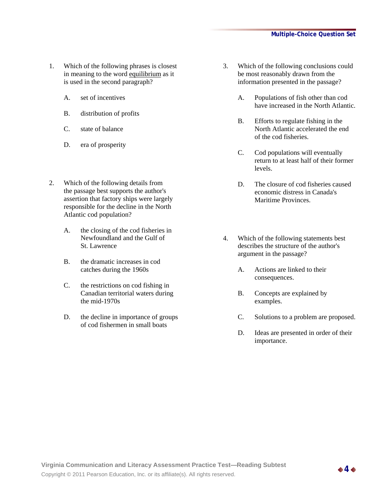- 1. Which of the following phrases is closest in meaning to the word equilibrium as it is used in the second paragraph?
	- A. set of incentives
	- B. distribution of profits
	- C. state of balance
	- D. era of prosperity
- 2. Which of the following details from the passage best supports the author's assertion that factory ships were largely responsible for the decline in the North Atlantic cod population?
	- A. the closing of the cod fisheries in Newfoundland and the Gulf of St. Lawrence
	- B. the dramatic increases in cod catches during the 1960s
	- C. the restrictions on cod fishing in Canadian territorial waters during the mid-1970s
	- D. the decline in importance of groups of cod fishermen in small boats
- 3. Which of the following conclusions could be most reasonably drawn from the information presented in the passage?
	- A. Populations of fish other than cod have increased in the North Atlantic.
	- B. Efforts to regulate fishing in the North Atlantic accelerated the end of the cod fisheries.
	- C. Cod populations will eventually return to at least half of their former levels.
	- D. The closure of cod fisheries caused economic distress in Canada's Maritime Provinces.
- 4. Which of the following statements best describes the structure of the author's argument in the passage?
	- A. Actions are linked to their consequences.
	- B. Concepts are explained by examples.
	- C. Solutions to a problem are proposed.
	- D. Ideas are presented in order of their importance.

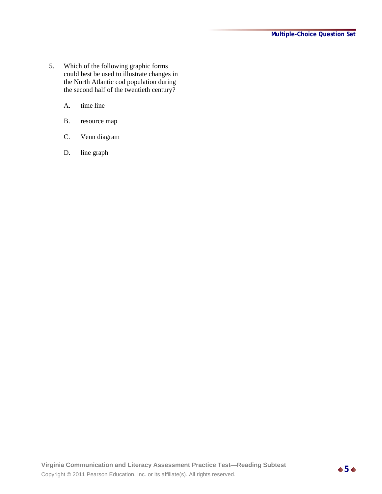- 5. Which of the following graphic forms could best be used to illustrate changes in the North Atlantic cod population during the second half of the twentieth century?
	- A. time line
	- B. resource map
	- C. Venn diagram
	- D. line graph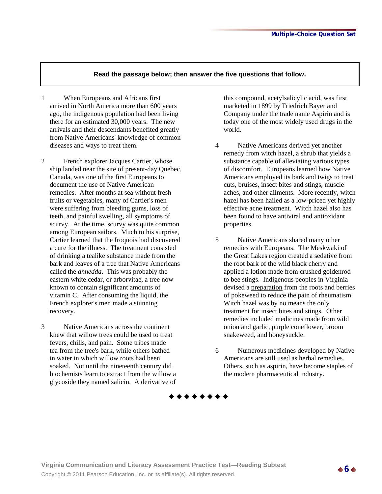- 1 When Europeans and Africans first arrived in North America more than 600 years ago, the indigenous population had been living there for an estimated 30,000 years. The new arrivals and their descendants benefited greatly from Native Americans' knowledge of common diseases and ways to treat them.
- 2 French explorer Jacques Cartier, whose ship landed near the site of present-day Quebec, Canada, was one of the first Europeans to document the use of Native American remedies. After months at sea without fresh fruits or vegetables, many of Cartier's men were suffering from bleeding gums, loss of teeth, and painful swelling, all symptoms of scurvy. At the time, scurvy was quite common among European sailors. Much to his surprise, Cartier learned that the Iroquois had discovered a cure for the illness. The treatment consisted of drinking a tealike substance made from the bark and leaves of a tree that Native Americans called the *annedda*. This was probably the eastern white cedar, or arborvitae, a tree now known to contain significant amounts of vitamin C. After consuming the liquid, the French explorer's men made a stunning recovery.
- 3 Native Americans across the continent knew that willow trees could be used to treat fevers, chills, and pain. Some tribes made tea from the tree's bark, while others bathed in water in which willow roots had been soaked. Not until the nineteenth century did biochemists learn to extract from the willow a glycoside they named salicin. A derivative of

this compound, acetylsalicylic acid, was first marketed in 1899 by Friedrich Bayer and Company under the trade name Aspirin and is today one of the most widely used drugs in the world.

- 4 Native Americans derived yet another remedy from witch hazel, a shrub that yields a substance capable of alleviating various types of discomfort. Europeans learned how Native Americans employed its bark and twigs to treat cuts, bruises, insect bites and stings, muscle aches, and other ailments. More recently, witch hazel has been hailed as a low-priced yet highly effective acne treatment. Witch hazel also has been found to have antiviral and antioxidant properties.
- 5 Native Americans shared many other remedies with Europeans. The Meskwaki of the Great Lakes region created a sedative from the root bark of the wild black cherry and applied a lotion made from crushed goldenrod to bee stings. Indigenous peoples in Virginia devised a preparation from the roots and berries of pokeweed to reduce the pain of rheumatism. Witch hazel was by no means the only treatment for insect bites and stings. Other remedies included medicines made from wild onion and garlic, purple coneflower, broom snakeweed, and honeysuckle.
- 6 Numerous medicines developed by Native Americans are still used as herbal remedies. Others, such as aspirin, have become staples of the modern pharmaceutical industry.



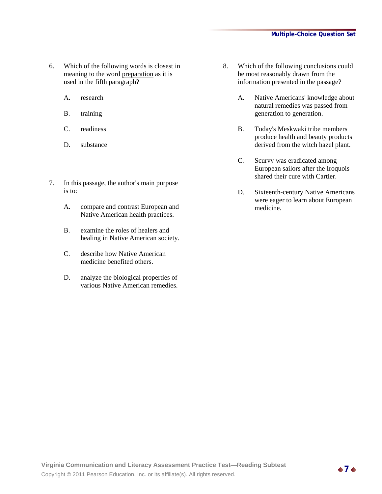- 6. Which of the following words is closest in meaning to the word preparation as it is used in the fifth paragraph?
	- A. research
	- B. training
	- C. readiness
	- D. substance
- 7. In this passage, the author's main purpose is to:
	- A. compare and contrast European and Native American health practices.
	- B. examine the roles of healers and healing in Native American society.
	- C. describe how Native American medicine benefited others.
	- D. analyze the biological properties of various Native American remedies.
- 8. Which of the following conclusions could be most reasonably drawn from the information presented in the passage?
	- A. Native Americans' knowledge about natural remedies was passed from generation to generation.
	- B. Today's Meskwaki tribe members produce health and beauty products derived from the witch hazel plant.
	- C. Scurvy was eradicated among European sailors after the Iroquois shared their cure with Cartier.
	- D. Sixteenth-century Native Americans were eager to learn about European medicine.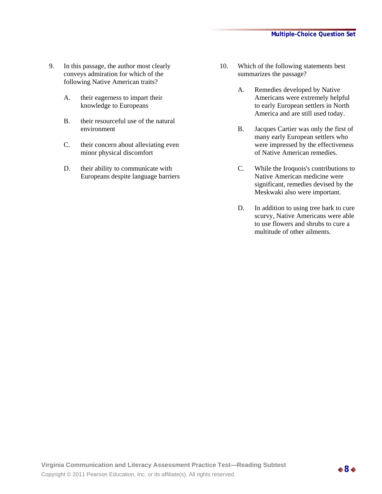- 9. In this passage, the author most clearly conveys admiration for which of the following Native American traits?
	- A. their eagerness to impart their knowledge to Europeans
	- B. their resourceful use of the natural environment
	- C. their concern about alleviating even minor physical discomfort
	- D. their ability to communicate with Europeans despite language barriers
- 10. Which of the following statements best summarizes the passage?
	- A. Remedies developed by Native Americans were extremely helpful to early European settlers in North America and are still used today.
	- B. Jacques Cartier was only the first of many early European settlers who were impressed by the effectiveness of Native American remedies.
	- C. While the Iroquois's contributions to Native American medicine were significant, remedies devised by the Meskwaki also were important.
	- D. In addition to using tree bark to cure scurvy, Native Americans were able to use flowers and shrubs to cure a multitude of other ailments.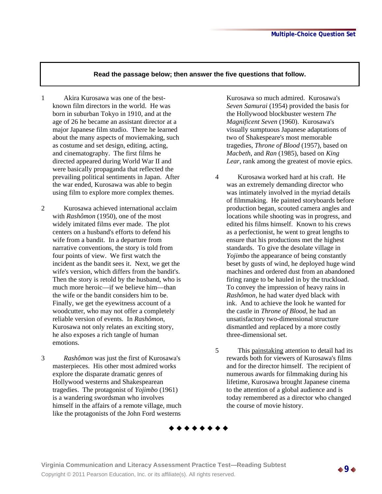- 1 Akira Kurosawa was one of the bestknown film directors in the world. He was born in suburban Tokyo in 1910, and at the age of 26 he became an assistant director at a major Japanese film studio. There he learned about the many aspects of moviemaking, such as costume and set design, editing, acting, and cinematography. The first films he directed appeared during World War II and were basically propaganda that reflected the prevailing political sentiments in Japan. After the war ended, Kurosawa was able to begin using film to explore more complex themes.
- 2 Kurosawa achieved international acclaim with *Rashômon* (1950), one of the most widely imitated films ever made. The plot centers on a husband's efforts to defend his wife from a bandit. In a departure from narrative conventions, the story is told from four points of view. We first watch the incident as the bandit sees it. Next, we get the wife's version, which differs from the bandit's. Then the story is retold by the husband, who is much more heroic—if we believe him—than the wife or the bandit considers him to be. Finally, we get the eyewitness account of a woodcutter, who may not offer a completely reliable version of events. In *Rashômon*, Kurosawa not only relates an exciting story, he also exposes a rich tangle of human emotions.
- 3 *Rashômon* was just the first of Kurosawa's masterpieces. His other most admired works explore the disparate dramatic genres of Hollywood westerns and Shakespearean tragedies. The protagonist of *Yojimbo* (1961) is a wandering swordsman who involves himself in the affairs of a remote village, much like the protagonists of the John Ford westerns

Kurosawa so much admired. Kurosawa's *Seven Samurai* (1954) provided the basis for the Hollywood blockbuster western *The Magnificent Seven* (1960). Kurosawa's visually sumptuous Japanese adaptations of two of Shakespeare's most memorable tragedies, *Throne of Blood* (1957), based on *Macbeth*, and *Ran* (1985), based on *King Lear*, rank among the greatest of movie epics.

- 4 Kurosawa worked hard at his craft. He was an extremely demanding director who was intimately involved in the myriad details of filmmaking. He painted storyboards before production began, scouted camera angles and locations while shooting was in progress, and edited his films himself. Known to his crews as a perfectionist, he went to great lengths to ensure that his productions met the highest standards. To give the desolate village in *Yojimbo* the appearance of being constantly beset by gusts of wind, he deployed huge wind machines and ordered dust from an abandoned firing range to be hauled in by the truckload. To convey the impression of heavy rains in *Rashômon,* he had water dyed black with ink. And to achieve the look he wanted for the castle in *Throne of Blood,* he had an unsatisfactory two-dimensional structure dismantled and replaced by a more costly three-dimensional set.
- 5 This painstaking attention to detail had its rewards both for viewers of Kurosawa's films and for the director himself. The recipient of numerous awards for filmmaking during his lifetime, Kurosawa brought Japanese cinema to the attention of a global audience and is today remembered as a director who changed the course of movie history.

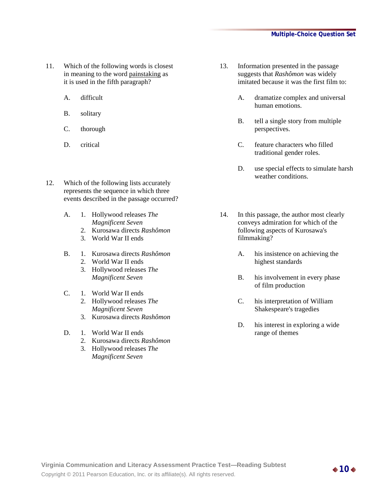- 11. Which of the following words is closest in meaning to the word painstaking as it is used in the fifth paragraph?
	- A. difficult
	- B. solitary
	- C. thorough
	- D. critical
- 12. Which of the following lists accurately represents the sequence in which three events described in the passage occurred?
	- A. 1. Hollywood releases *The Magnificent Seven* 
		- 2. Kurosawa directs *Rashômon*
		- 3. World War II ends
	- B. 1. Kurosawa directs *Rashômon* 
		- 2. World War II ends
		- 3. Hollywood releases *The Magnificent Seven*
	- C. 1. World War II ends
		- 2. Hollywood releases *The Magnificent Seven*
		- 3. Kurosawa directs *Rashômon*
	- D. 1. World War II ends
		- 2. Kurosawa directs *Rashômon*
		- 3. Hollywood releases *The Magnificent Seven*
- 13. Information presented in the passage suggests that *Rashômon* was widely imitated because it was the first film to:
	- A. dramatize complex and universal human emotions.
	- B. tell a single story from multiple perspectives.
	- C. feature characters who filled traditional gender roles.
	- D. use special effects to simulate harsh weather conditions.
- 14. In this passage, the author most clearly conveys admiration for which of the following aspects of Kurosawa's filmmaking?
	- A. his insistence on achieving the highest standards
	- B. his involvement in every phase of film production
	- C. his interpretation of William Shakespeare's tragedies
	- D. his interest in exploring a wide range of themes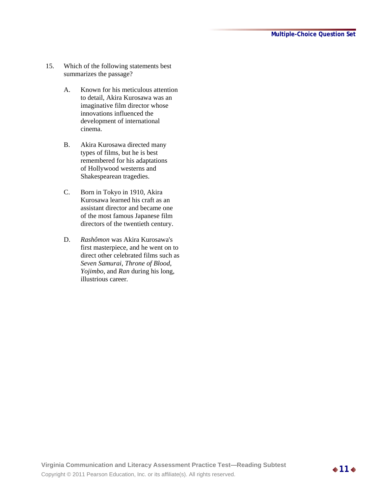- 15. Which of the following statements best summarizes the passage?
	- A. Known for his meticulous attention to detail, Akira Kurosawa was an imaginative film director whose innovations influenced the development of international cinema.
	- B. Akira Kurosawa directed many types of films, but he is best remembered for his adaptations of Hollywood westerns and Shakespearean tragedies.
	- C. Born in Tokyo in 1910, Akira Kurosawa learned his craft as an assistant director and became one of the most famous Japanese film directors of the twentieth century.
	- D. *Rashômon* was Akira Kurosawa's first masterpiece, and he went on to direct other celebrated films such as *Seven Samurai*, *Throne of Blood*, *Yojimbo*, and *Ran* during his long, illustrious career*.*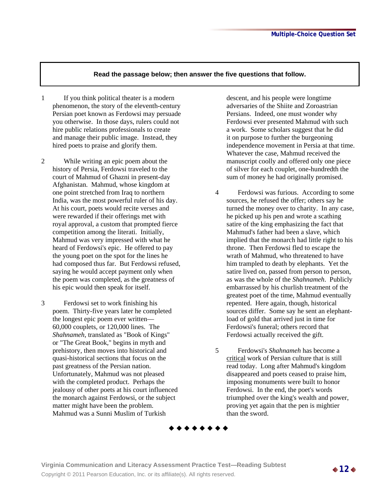- 1 If you think political theater is a modern phenomenon, the story of the eleventh-century Persian poet known as Ferdowsi may persuade you otherwise. In those days, rulers could not hire public relations professionals to create and manage their public image. Instead, they hired poets to praise and glorify them.
- 2 While writing an epic poem about the history of Persia, Ferdowsi traveled to the court of Mahmud of Ghazni in present-day Afghanistan. Mahmud, whose kingdom at one point stretched from Iraq to northern India, was the most powerful ruler of his day. At his court, poets would recite verses and were rewarded if their offerings met with royal approval, a custom that prompted fierce competition among the literati. Initially, Mahmud was very impressed with what he heard of Ferdowsi's epic. He offered to pay the young poet on the spot for the lines he had composed thus far. But Ferdowsi refused, saying he would accept payment only when the poem was completed, as the greatness of his epic would then speak for itself.
- 3 Ferdowsi set to work finishing his poem. Thirty-five years later he completed the longest epic poem ever written— 60,000 couplets, or 120,000 lines. The *Shahnameh*, translated as "Book of Kings" or "The Great Book," begins in myth and prehistory, then moves into historical and quasi-historical sections that focus on the past greatness of the Persian nation. Unfortunately, Mahmud was not pleased with the completed product. Perhaps the jealousy of other poets at his court influenced the monarch against Ferdowsi, or the subject matter might have been the problem. Mahmud was a Sunni Muslim of Turkish

descent, and his people were longtime adversaries of the Shiite and Zoroastrian Persians. Indeed, one must wonder why Ferdowsi ever presented Mahmud with such a work. Some scholars suggest that he did it on purpose to further the burgeoning independence movement in Persia at that time. Whatever the case, Mahmud received the manuscript coolly and offered only one piece of silver for each couplet, one-hundredth the sum of money he had originally promised.

- 4 Ferdowsi was furious. According to some sources, he refused the offer; others say he turned the money over to charity. In any case, he picked up his pen and wrote a scathing satire of the king emphasizing the fact that Mahmud's father had been a slave, which implied that the monarch had little right to his throne. Then Ferdowsi fled to escape the wrath of Mahmud, who threatened to have him trampled to death by elephants. Yet the satire lived on, passed from person to person, as was the whole of the *Shahnameh*. Publicly embarrassed by his churlish treatment of the greatest poet of the time, Mahmud eventually repented. Here again, though, historical sources differ. Some say he sent an elephantload of gold that arrived just in time for Ferdowsi's funeral; others record that Ferdowsi actually received the gift.
- 5 Ferdowsi's *Shahnameh* has become a critical work of Persian culture that is still read today. Long after Mahmud's kingdom disappeared and poets ceased to praise him, imposing monuments were built to honor Ferdowsi. In the end, the poet's words triumphed over the king's wealth and power, proving yet again that the pen is mightier than the sword.

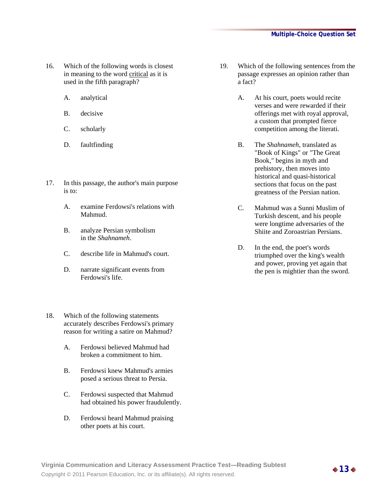- 16. Which of the following words is closest in meaning to the word critical as it is used in the fifth paragraph?
	- A. analytical
	- B. decisive
	- C. scholarly
	- D. faultfinding
- 17. In this passage, the author's main purpose is to:
	- A. examine Ferdowsi's relations with Mahmud.
	- B. analyze Persian symbolism in the *Shahnameh*.
	- C. describe life in Mahmud's court.
	- D. narrate significant events from Ferdowsi's life.
- 18. Which of the following statements accurately describes Ferdowsi's primary reason for writing a satire on Mahmud?
	- A. Ferdowsi believed Mahmud had broken a commitment to him.
	- B. Ferdowsi knew Mahmud's armies posed a serious threat to Persia.
	- C. Ferdowsi suspected that Mahmud had obtained his power fraudulently.
	- D. Ferdowsi heard Mahmud praising other poets at his court.
- 19. Which of the following sentences from the passage expresses an opinion rather than a fact?
	- A. At his court, poets would recite verses and were rewarded if their offerings met with royal approval, a custom that prompted fierce competition among the literati.
	- B. The *Shahnameh*, translated as "Book of Kings" or "The Great Book," begins in myth and prehistory, then moves into historical and quasi-historical sections that focus on the past greatness of the Persian nation.
	- C. Mahmud was a Sunni Muslim of Turkish descent, and his people were longtime adversaries of the Shiite and Zoroastrian Persians.
	- D. In the end, the poet's words triumphed over the king's wealth and power, proving yet again that the pen is mightier than the sword.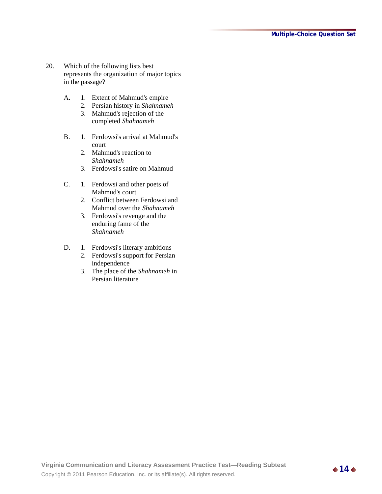- 20. Which of the following lists best represents the organization of major topics in the passage?
	- A. 1. Extent of Mahmud's empire
		- 2. Persian history in *Shahnameh*
		- 3. Mahmud's rejection of the completed *Shahnameh*
	- B. 1. Ferdowsi's arrival at Mahmud's court
		- 2. Mahmud's reaction to *Shahnameh*
		- 3. Ferdowsi's satire on Mahmud
	- C. 1. Ferdowsi and other poets of Mahmud's court
		- 2. Conflict between Ferdowsi and Mahmud over the *Shahnameh*
		- 3. Ferdowsi's revenge and the enduring fame of the *Shahnameh*
	- D. 1. Ferdowsi's literary ambitions
		- 2. Ferdowsi's support for Persian independence
		- 3. The place of the *Shahnameh* in Persian literature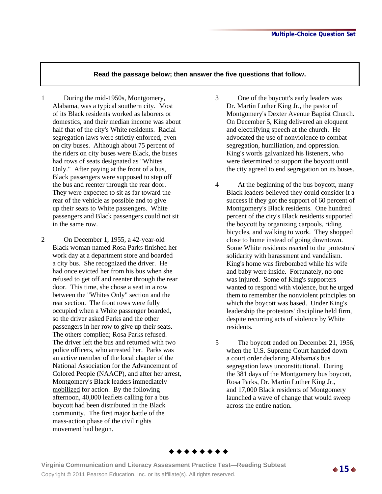- 1 During the mid-1950s, Montgomery, Alabama, was a typical southern city. Most of its Black residents worked as laborers or domestics, and their median income was about half that of the city's White residents. Racial segregation laws were strictly enforced, even on city buses. Although about 75 percent of the riders on city buses were Black, the buses had rows of seats designated as "Whites Only." After paying at the front of a bus, Black passengers were supposed to step off the bus and reenter through the rear door. They were expected to sit as far toward the rear of the vehicle as possible and to give up their seats to White passengers. White passengers and Black passengers could not sit in the same row.
- 2 On December 1, 1955, a 42-year-old Black woman named Rosa Parks finished her work day at a department store and boarded a city bus. She recognized the driver. He had once evicted her from his bus when she refused to get off and reenter through the rear door. This time, she chose a seat in a row between the "Whites Only" section and the rear section. The front rows were fully occupied when a White passenger boarded, so the driver asked Parks and the other passengers in her row to give up their seats. The others complied; Rosa Parks refused. The driver left the bus and returned with two police officers, who arrested her. Parks was an active member of the local chapter of the National Association for the Advancement of Colored People (NAACP), and after her arrest, Montgomery's Black leaders immediately mobilized for action. By the following afternoon, 40,000 leaflets calling for a bus boycott had been distributed in the Black community. The first major battle of the mass-action phase of the civil rights movement had begun.
- 3 One of the boycott's early leaders was Dr. Martin Luther King Jr., the pastor of Montgomery's Dexter Avenue Baptist Church. On December 5, King delivered an eloquent and electrifying speech at the church. He advocated the use of nonviolence to combat segregation, humiliation, and oppression. King's words galvanized his listeners, who were determined to support the boycott until the city agreed to end segregation on its buses.
- 4 At the beginning of the bus boycott, many Black leaders believed they could consider it a success if they got the support of 60 percent of Montgomery's Black residents. One hundred percent of the city's Black residents supported the boycott by organizing carpools, riding bicycles, and walking to work. They shopped close to home instead of going downtown. Some White residents reacted to the protestors' solidarity with harassment and vandalism. King's home was firebombed while his wife and baby were inside. Fortunately, no one was injured. Some of King's supporters wanted to respond with violence, but he urged them to remember the nonviolent principles on which the boycott was based. Under King's leadership the protestors' discipline held firm, despite recurring acts of violence by White residents.
- 5 The boycott ended on December 21, 1956, when the U.S. Supreme Court handed down a court order declaring Alabama's bus segregation laws unconstitutional. During the 381 days of the Montgomery bus boycott, Rosa Parks, Dr. Martin Luther King Jr., and 17,000 Black residents of Montgomery launched a wave of change that would sweep across the entire nation.



**Virginia Communication and Literacy Assessment Practice Test—Reading Subtest**  Copyright © 2011 Pearson Education, Inc. or its affiliate(s). All rights reserved. **15**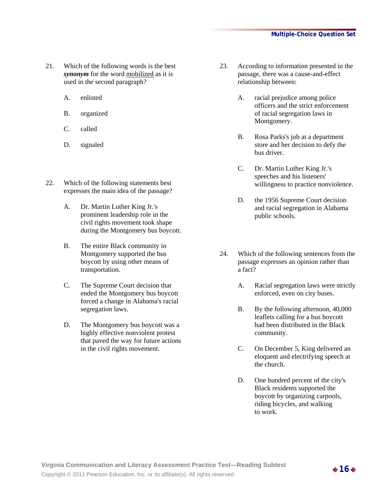- 21. Which of the following words is the best *synonym* for the word mobilized as it is used in the second paragraph?
	- A. enlisted
	- B. organized
	- C. called
	- D. signaled
- 22. Which of the following statements best expresses the main idea of the passage?
	- A. Dr. Martin Luther King Jr.'s prominent leadership role in the civil rights movement took shape during the Montgomery bus boycott.
	- B. The entire Black community in Montgomery supported the bus boycott by using other means of transportation.
	- C. The Supreme Court decision that ended the Montgomery bus boycott forced a change in Alabama's racial segregation laws.
	- D. The Montgomery bus boycott was a highly effective nonviolent protest that paved the way for future actions in the civil rights movement.
- 23. According to information presented in the passage, there was a cause-and-effect relationship between:
	- A. racial prejudice among police officers and the strict enforcement of racial segregation laws in Montgomery.
	- B. Rosa Parks's job at a department store and her decision to defy the bus driver.
	- C. Dr. Martin Luther King Jr.'s speeches and his listeners' willingness to practice nonviolence.
	- D. the 1956 Supreme Court decision and racial segregation in Alabama public schools.
- 24. Which of the following sentences from the passage expresses an opinion rather than a fact?
	- A. Racial segregation laws were strictly enforced, even on city buses.
	- B. By the following afternoon, 40,000 leaflets calling for a bus boycott had been distributed in the Black community.
	- C. On December 5, King delivered an eloquent and electrifying speech at the church.
	- D. One hundred percent of the city's Black residents supported the boycott by organizing carpools, riding bicycles, and walking to work.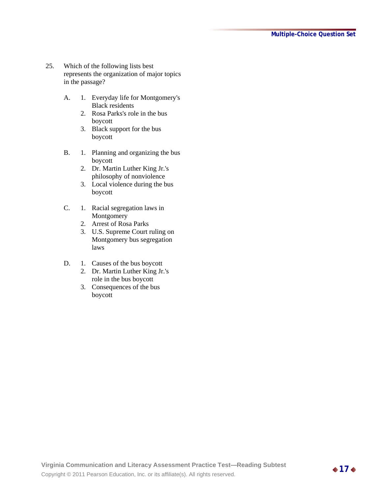- 25. Which of the following lists best represents the organization of major topics in the passage?
	- A. 1. Everyday life for Montgomery's Black residents
		- 2. Rosa Parks's role in the bus boycott
		- 3. Black support for the bus boycott
	- B. 1. Planning and organizing the bus boycott
		- 2. Dr. Martin Luther King Jr.'s philosophy of nonviolence
		- 3. Local violence during the bus boycott
	- C. 1. Racial segregation laws in Montgomery
		- 2. Arrest of Rosa Parks
		- 3. U.S. Supreme Court ruling on Montgomery bus segregation laws
	- D. 1. Causes of the bus boycott
		- 2. Dr. Martin Luther King Jr.'s role in the bus boycott
		- 3. Consequences of the bus boycott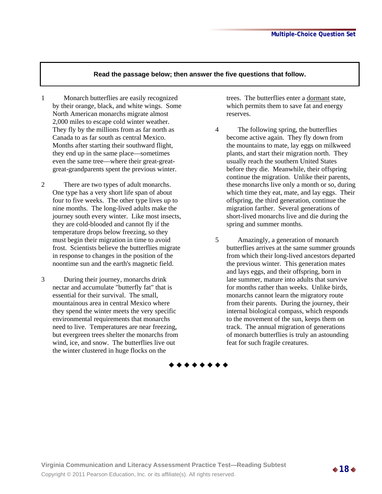- 1 Monarch butterflies are easily recognized by their orange, black, and white wings. Some North American monarchs migrate almost 2,000 miles to escape cold winter weather. They fly by the millions from as far north as Canada to as far south as central Mexico. Months after starting their southward flight, they end up in the same place—sometimes even the same tree—where their great-greatgreat-grandparents spent the previous winter.
- 2 There are two types of adult monarchs. One type has a very short life span of about four to five weeks. The other type lives up to nine months. The long-lived adults make the journey south every winter. Like most insects, they are cold-blooded and cannot fly if the temperature drops below freezing, so they must begin their migration in time to avoid frost. Scientists believe the butterflies migrate in response to changes in the position of the noontime sun and the earth's magnetic field.
- 3 During their journey, monarchs drink nectar and accumulate "butterfly fat" that is essential for their survival. The small, mountainous area in central Mexico where they spend the winter meets the very specific environmental requirements that monarchs need to live. Temperatures are near freezing, but evergreen trees shelter the monarchs from wind, ice, and snow. The butterflies live out the winter clustered in huge flocks on the

trees. The butterflies enter a dormant state, which permits them to save fat and energy reserves.

- 4 The following spring, the butterflies become active again. They fly down from the mountains to mate, lay eggs on milkweed plants, and start their migration north. They usually reach the southern United States before they die. Meanwhile, their offspring continue the migration. Unlike their parents, these monarchs live only a month or so, during which time they eat, mate, and lay eggs. Their offspring, the third generation, continue the migration farther. Several generations of short-lived monarchs live and die during the spring and summer months.
- 5 Amazingly, a generation of monarch butterflies arrives at the same summer grounds from which their long-lived ancestors departed the previous winter. This generation mates and lays eggs, and their offspring, born in late summer, mature into adults that survive for months rather than weeks. Unlike birds, monarchs cannot learn the migratory route from their parents. During the journey, their internal biological compass, which responds to the movement of the sun, keeps them on track. The annual migration of generations of monarch butterflies is truly an astounding feat for such fragile creatures.

\* \* \* \* \* \* \* \*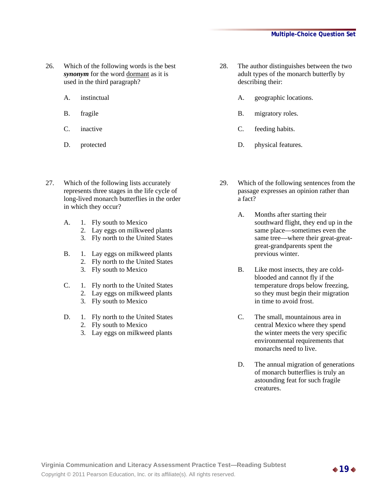- 26. Which of the following words is the best *synonym* for the word dormant as it is used in the third paragraph?
	- A. instinctual
	- B. fragile
	- C. inactive
	- D. protected
- 27. Which of the following lists accurately represents three stages in the life cycle of long-lived monarch butterflies in the order in which they occur?
	- A. 1. Fly south to Mexico
		- 2. Lay eggs on milkweed plants
		- 3. Fly north to the United States
	- B. 1. Lay eggs on milkweed plants 2. Fly north to the United States
		- 3. Fly south to Mexico
	- C. 1. Fly north to the United States 2. Lay eggs on milkweed plants
		- 3. Fly south to Mexico
	- D. 1. Fly north to the United States 2. Fly south to Mexico
		- 3. Lay eggs on milkweed plants
- 28. The author distinguishes between the two adult types of the monarch butterfly by describing their:
	- A. geographic locations.
	- B. migratory roles.
	- C. feeding habits.
	- D. physical features.
- 29. Which of the following sentences from the passage expresses an opinion rather than a fact?
	- A. Months after starting their southward flight, they end up in the same place—sometimes even the same tree—where their great-greatgreat-grandparents spent the previous winter.
	- B. Like most insects, they are coldblooded and cannot fly if the temperature drops below freezing, so they must begin their migration in time to avoid frost.
	- C. The small, mountainous area in central Mexico where they spend the winter meets the very specific environmental requirements that monarchs need to live.
	- D. The annual migration of generations of monarch butterflies is truly an astounding feat for such fragile creatures.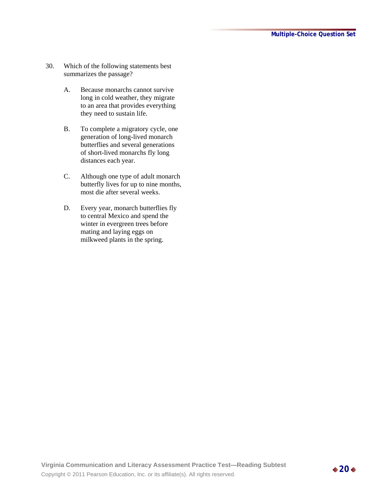- 30. Which of the following statements best summarizes the passage?
	- A. Because monarchs cannot survive long in cold weather, they migrate to an area that provides everything they need to sustain life.
	- B. To complete a migratory cycle, one generation of long-lived monarch butterflies and several generations of short-lived monarchs fly long distances each year.
	- C. Although one type of adult monarch butterfly lives for up to nine months, most die after several weeks.
	- D. Every year, monarch butterflies fly to central Mexico and spend the winter in evergreen trees before mating and laying eggs on milkweed plants in the spring.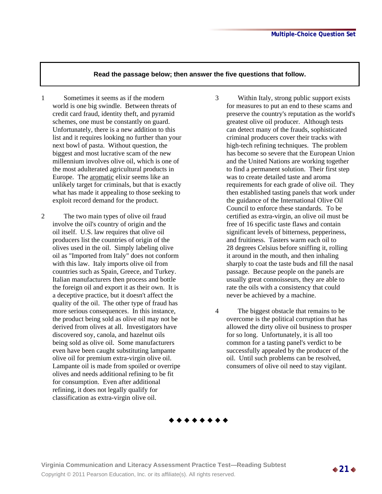- 1 Sometimes it seems as if the modern world is one big swindle. Between threats of credit card fraud, identity theft, and pyramid schemes, one must be constantly on guard. Unfortunately, there is a new addition to this list and it requires looking no further than your next bowl of pasta. Without question, the biggest and most lucrative scam of the new millennium involves olive oil, which is one of the most adulterated agricultural products in Europe. The aromatic elixir seems like an unlikely target for criminals, but that is exactly what has made it appealing to those seeking to exploit record demand for the product.
- 2 The two main types of olive oil fraud involve the oil's country of origin and the oil itself. U.S. law requires that olive oil producers list the countries of origin of the olives used in the oil. Simply labeling olive oil as "Imported from Italy" does not conform with this law. Italy imports olive oil from countries such as Spain, Greece, and Turkey. Italian manufacturers then process and bottle the foreign oil and export it as their own. It is a deceptive practice, but it doesn't affect the quality of the oil. The other type of fraud has more serious consequences. In this instance, the product being sold as olive oil may not be derived from olives at all. Investigators have discovered soy, canola, and hazelnut oils being sold as olive oil. Some manufacturers even have been caught substituting lampante olive oil for premium extra-virgin olive oil. Lampante oil is made from spoiled or overripe olives and needs additional refining to be fit for consumption. Even after additional refining, it does not legally qualify for classification as extra-virgin olive oil.
- 3 Within Italy, strong public support exists for measures to put an end to these scams and preserve the country's reputation as the world's greatest olive oil producer. Although tests can detect many of the frauds, sophisticated criminal producers cover their tracks with high-tech refining techniques. The problem has become so severe that the European Union and the United Nations are working together to find a permanent solution. Their first step was to create detailed taste and aroma requirements for each grade of olive oil. They then established tasting panels that work under the guidance of the International Olive Oil Council to enforce these standards. To be certified as extra-virgin, an olive oil must be free of 16 specific taste flaws and contain significant levels of bitterness, pepperiness, and fruitiness. Tasters warm each oil to 28 degrees Celsius before sniffing it, rolling it around in the mouth, and then inhaling sharply to coat the taste buds and fill the nasal passage. Because people on the panels are usually great connoisseurs, they are able to rate the oils with a consistency that could never be achieved by a machine.
- 4 The biggest obstacle that remains to be overcome is the political corruption that has allowed the dirty olive oil business to prosper for so long. Unfortunately, it is all too common for a tasting panel's verdict to be successfully appealed by the producer of the oil. Until such problems can be resolved, consumers of olive oil need to stay vigilant.

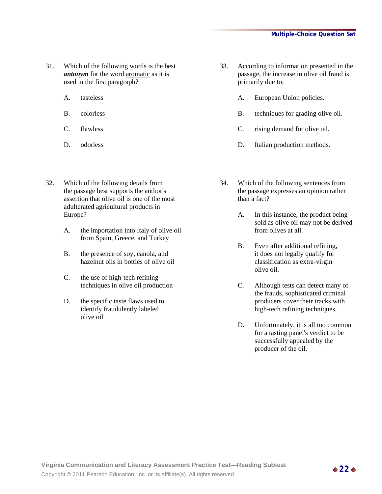- 31. Which of the following words is the best *antonym* for the word aromatic as it is used in the first paragraph?
	- A. tasteless
	- B. colorless
	- C. flawless
	- D. odorless
- 32. Which of the following details from the passage best supports the author's assertion that olive oil is one of the most adulterated agricultural products in Europe?
	- A. the importation into Italy of olive oil from Spain, Greece, and Turkey
	- B. the presence of soy, canola, and hazelnut oils in bottles of olive oil
	- C. the use of high-tech refining techniques in olive oil production
	- D. the specific taste flaws used to identify fraudulently labeled olive oil
- 33. According to information presented in the passage, the increase in olive oil fraud is primarily due to:
	- A. European Union policies.
	- B. techniques for grading olive oil.
	- C. rising demand for olive oil.
	- D. Italian production methods.
- 34. Which of the following sentences from the passage expresses an opinion rather than a fact?
	- A. In this instance, the product being sold as olive oil may not be derived from olives at all.
	- B. Even after additional refining, it does not legally qualify for classification as extra-virgin olive oil.
	- C. Although tests can detect many of the frauds, sophisticated criminal producers cover their tracks with high-tech refining techniques.
	- D. Unfortunately, it is all too common for a tasting panel's verdict to be successfully appealed by the producer of the oil.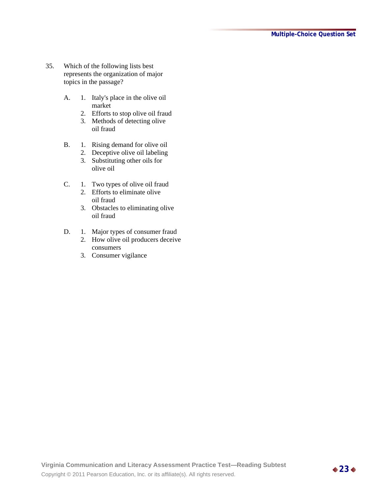- 35. Which of the following lists best represents the organization of major topics in the passage?
	- A. 1. Italy's place in the olive oil market
		- 2. Efforts to stop olive oil fraud
		- 3. Methods of detecting olive oil fraud
	- B. 1. Rising demand for olive oil
		- 2. Deceptive olive oil labeling
		- 3. Substituting other oils for olive oil
	- C. 1. Two types of olive oil fraud
		- 2. Efforts to eliminate olive oil fraud
		- 3. Obstacles to eliminating olive oil fraud
	- D. 1. Major types of consumer fraud
		- 2. How olive oil producers deceive consumers
		- 3. Consumer vigilance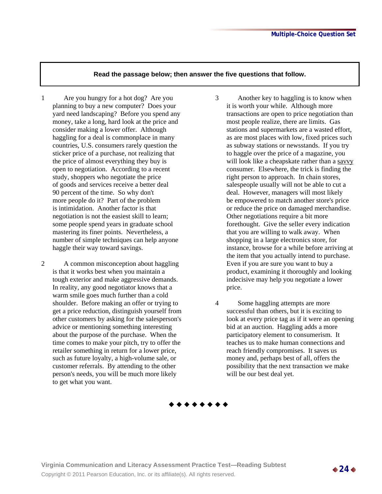- 1 Are you hungry for a hot dog? Are you planning to buy a new computer? Does your yard need landscaping? Before you spend any money, take a long, hard look at the price and consider making a lower offer. Although haggling for a deal is commonplace in many countries, U.S. consumers rarely question the sticker price of a purchase, not realizing that the price of almost everything they buy is open to negotiation. According to a recent study, shoppers who negotiate the price of goods and services receive a better deal 90 percent of the time. So why don't more people do it? Part of the problem is intimidation. Another factor is that negotiation is not the easiest skill to learn; some people spend years in graduate school mastering its finer points. Nevertheless, a number of simple techniques can help anyone haggle their way toward savings.
- 2 A common misconception about haggling is that it works best when you maintain a tough exterior and make aggressive demands. In reality, any good negotiator knows that a warm smile goes much further than a cold shoulder. Before making an offer or trying to get a price reduction, distinguish yourself from other customers by asking for the salesperson's advice or mentioning something interesting about the purpose of the purchase. When the time comes to make your pitch, try to offer the retailer something in return for a lower price, such as future loyalty, a high-volume sale, or customer referrals. By attending to the other person's needs, you will be much more likely to get what you want.
- 3 Another key to haggling is to know when it is worth your while. Although more transactions are open to price negotiation than most people realize, there are limits. Gas stations and supermarkets are a wasted effort, as are most places with low, fixed prices such as subway stations or newsstands. If you try to haggle over the price of a magazine, you will look like a cheapskate rather than a savvy consumer. Elsewhere, the trick is finding the right person to approach. In chain stores, salespeople usually will not be able to cut a deal. However, managers will most likely be empowered to match another store's price or reduce the price on damaged merchandise. Other negotiations require a bit more forethought. Give the seller every indication that you are willing to walk away. When shopping in a large electronics store, for instance, browse for a while before arriving at the item that you actually intend to purchase. Even if you are sure you want to buy a product, examining it thoroughly and looking indecisive may help you negotiate a lower price.
- 4 Some haggling attempts are more successful than others, but it is exciting to look at every price tag as if it were an opening bid at an auction. Haggling adds a more participatory element to consumerism. It teaches us to make human connections and reach friendly compromises. It saves us money and, perhaps best of all, offers the possibility that the next transaction we make will be our best deal yet.

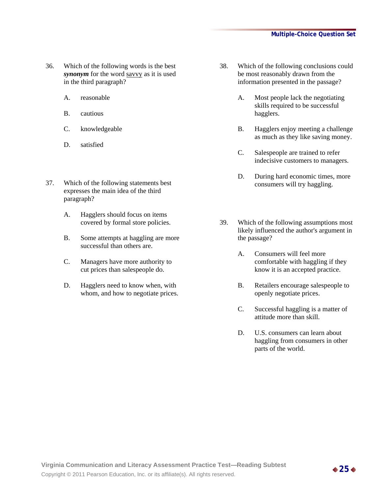- 36. Which of the following words is the best *synonym* for the word savvy as it is used in the third paragraph?
	- A. reasonable
	- B. cautious
	- C. knowledgeable
	- D. satisfied
- 37. Which of the following statements best expresses the main idea of the third paragraph?
	- A. Hagglers should focus on items covered by formal store policies.
	- B. Some attempts at haggling are more successful than others are.
	- C. Managers have more authority to cut prices than salespeople do.
	- D. Hagglers need to know when, with whom, and how to negotiate prices.
- 38. Which of the following conclusions could be most reasonably drawn from the information presented in the passage?
	- A. Most people lack the negotiating skills required to be successful hagglers.
	- B. Hagglers enjoy meeting a challenge as much as they like saving money.
	- C. Salespeople are trained to refer indecisive customers to managers.
	- D. During hard economic times, more consumers will try haggling.
- 39. Which of the following assumptions most likely influenced the author's argument in the passage?
	- A. Consumers will feel more comfortable with haggling if they know it is an accepted practice.
	- B. Retailers encourage salespeople to openly negotiate prices.
	- C. Successful haggling is a matter of attitude more than skill.
	- D. U.S. consumers can learn about haggling from consumers in other parts of the world.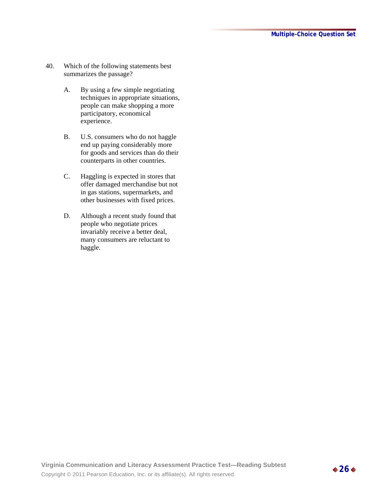- 40. Which of the following statements best summarizes the passage?
	- A. By using a few simple negotiating techniques in appropriate situations, people can make shopping a more participatory, economical experience.
	- B. U.S. consumers who do not haggle end up paying considerably more for goods and services than do their counterparts in other countries.
	- C. Haggling is expected in stores that offer damaged merchandise but not in gas stations, supermarkets, and other businesses with fixed prices.
	- D. Although a recent study found that people who negotiate prices invariably receive a better deal, many consumers are reluctant to haggle.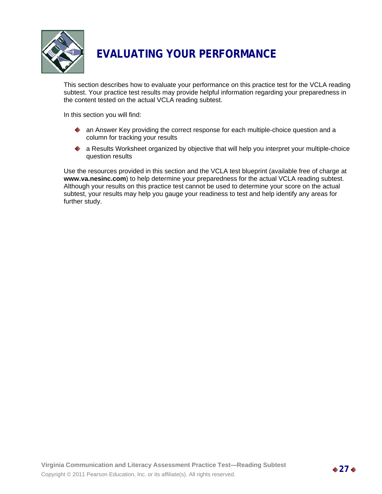

# **EVALUATING YOUR PERFORMANCE**

This section describes how to evaluate your performance on this practice test for the VCLA reading subtest. Your practice test results may provide helpful information regarding your preparedness in the content tested on the actual VCLA reading subtest.

In this section you will find:

- ◆ an Answer Key providing the correct response for each multiple-choice question and a column for tracking your results
- a Results Worksheet organized by objective that will help you interpret your multiple-choice question results

Use the resources provided in this section and the VCLA test blueprint (available free of charge at **www.va.nesinc.com**) to help determine your preparedness for the actual VCLA reading subtest. Although your results on this practice test cannot be used to determine your score on the actual subtest, your results may help you gauge your readiness to test and help identify any areas for further study.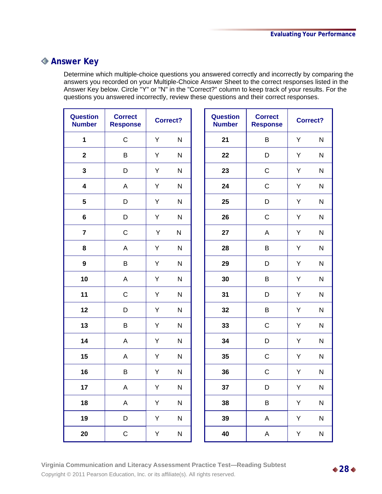### **Answer Key**

Determine which multiple-choice questions you answered correctly and incorrectly by comparing the answers you recorded on your Multiple-Choice Answer Sheet to the correct responses listed in the Answer Key below. Circle "Y" or "N" in the "Correct?" column to keep track of your results. For the questions you answered incorrectly, review these questions and their correct responses.

| <b>Question</b><br><b>Number</b> | <b>Correct</b><br><b>Response</b> | <b>Correct?</b> |              | <b>Question</b><br><b>Number</b> | <b>Correct</b><br><b>Response</b> |    | Correct?     |
|----------------------------------|-----------------------------------|-----------------|--------------|----------------------------------|-----------------------------------|----|--------------|
| $\mathbf{1}$                     | $\mathsf C$                       | Y               | $\mathsf{N}$ | 21                               | B                                 | Y  | $\mathsf{N}$ |
| $\overline{2}$                   | $\sf B$                           | Y               | N            | 22                               | D                                 | Y  | N            |
| $\overline{\mathbf{3}}$          | D                                 | Y               | N            | 23                               | $\mathsf C$                       | Y  | ${\sf N}$    |
| $\overline{\mathbf{4}}$          | A                                 | Y               | $\mathsf{N}$ | 24                               | $\mathsf C$                       | Y  | ${\sf N}$    |
| 5                                | D                                 | Y               | ${\sf N}$    | 25                               | D                                 | Y  | ${\sf N}$    |
| $\bf 6$                          | D                                 | Y               | N            | 26                               | $\mathsf C$                       | Y  | ${\sf N}$    |
| $\overline{\mathbf{7}}$          | $\mathsf C$                       | Υ               | N            | 27                               | A                                 | Υ  | ${\sf N}$    |
| 8                                | A                                 | Υ               | $\mathsf{N}$ | 28                               | B                                 | Υ  | ${\sf N}$    |
| $\boldsymbol{9}$                 | $\sf B$                           | Y               | N            | 29                               | D                                 | Y  | ${\sf N}$    |
| 10                               | A                                 | Υ               | ${\sf N}$    | 30                               | B                                 | Υ  | ${\sf N}$    |
| 11                               | $\mathsf C$                       | Y               | $\mathsf{N}$ | 31                               | D                                 | Y  | ${\sf N}$    |
| 12                               | D                                 | Y               | $\mathsf{N}$ | 32                               | B                                 | Υ  | ${\sf N}$    |
| 13                               | $\sf B$                           | Y               | $\mathsf{N}$ | 33                               | $\mathsf C$                       | Y  | $\mathsf{N}$ |
| 14                               | A                                 | Y               | N            | 34                               | D                                 | Y  | $\mathsf{N}$ |
| 15                               | A                                 | Y               | N            | 35                               | $\mathsf C$                       | Y  | N            |
| 16                               | $\sf B$                           | Y               | N            | 36                               | $\mathsf C$                       | Υ  | ${\sf N}$    |
| 17                               | A                                 | Y.              | N            | 37                               | D                                 | Y. | N            |
| 18                               | $\boldsymbol{\mathsf{A}}$         | Y               | ${\sf N}$    | 38                               | $\sf B$                           | Y  | ${\sf N}$    |
| 19                               | D                                 | Y               | ${\sf N}$    | 39                               | $\boldsymbol{\mathsf{A}}$         | Y  | ${\sf N}$    |
| 20                               | $\mathsf C$                       | Υ               | ${\sf N}$    | 40                               | $\mathsf A$                       | Y  | ${\sf N}$    |

**Virginia Communication and Literacy Assessment Practice Test—Reading Subtest**  Virginia Communication and Elteracy Assessment Practice Test—Reading Subtest<br>Copyright © 2011 Pearson Education, Inc. or its affiliate(s). All rights reserved.